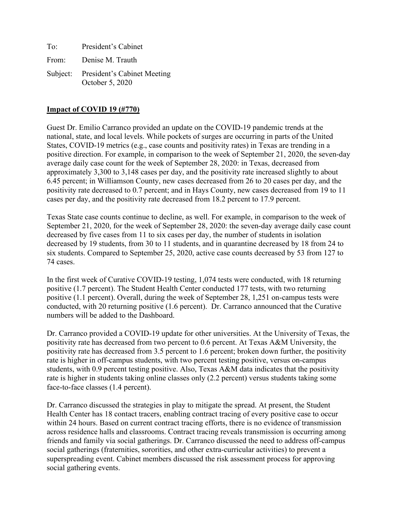| To: | President's Cabinet                                     |
|-----|---------------------------------------------------------|
|     | From: Denise M. Trauth                                  |
|     | Subject: President's Cabinet Meeting<br>October 5, 2020 |

### **Impact of COVID 19 (#770)**

Guest Dr. Emilio Carranco provided an update on the COVID-19 pandemic trends at the national, state, and local levels. While pockets of surges are occurring in parts of the United States, COVID-19 metrics (e.g., case counts and positivity rates) in Texas are trending in a positive direction. For example, in comparison to the week of September 21, 2020, the seven-day average daily case count for the week of September 28, 2020: in Texas, decreased from approximately 3,300 to 3,148 cases per day, and the positivity rate increased slightly to about 6.45 percent; in Williamson County, new cases decreased from 26 to 20 cases per day, and the positivity rate decreased to 0.7 percent; and in Hays County, new cases decreased from 19 to 11 cases per day, and the positivity rate decreased from 18.2 percent to 17.9 percent.

Texas State case counts continue to decline, as well. For example, in comparison to the week of September 21, 2020, for the week of September 28, 2020: the seven-day average daily case count decreased by five cases from 11 to six cases per day, the number of students in isolation decreased by 19 students, from 30 to 11 students, and in quarantine decreased by 18 from 24 to six students. Compared to September 25, 2020, active case counts decreased by 53 from 127 to 74 cases.

In the first week of Curative COVID-19 testing, 1,074 tests were conducted, with 18 returning positive (1.7 percent). The Student Health Center conducted 177 tests, with two returning positive (1.1 percent). Overall, during the week of September 28, 1,251 on-campus tests were conducted, with 20 returning positive (1.6 percent). Dr. Carranco announced that the Curative numbers will be added to the Dashboard.

Dr. Carranco provided a COVID-19 update for other universities. At the University of Texas, the positivity rate has decreased from two percent to 0.6 percent. At Texas A&M University, the positivity rate has decreased from 3.5 percent to 1.6 percent; broken down further, the positivity rate is higher in off-campus students, with two percent testing positive, versus on-campus students, with 0.9 percent testing positive. Also, Texas A&M data indicates that the positivity rate is higher in students taking online classes only (2.2 percent) versus students taking some face-to-face classes (1.4 percent).

Dr. Carranco discussed the strategies in play to mitigate the spread. At present, the Student Health Center has 18 contact tracers, enabling contract tracing of every positive case to occur within 24 hours. Based on current contract tracing efforts, there is no evidence of transmission across residence halls and classrooms. Contract tracing reveals transmission is occurring among friends and family via social gatherings. Dr. Carranco discussed the need to address off-campus social gatherings (fraternities, sororities, and other extra-curricular activities) to prevent a superspreading event. Cabinet members discussed the risk assessment process for approving social gathering events.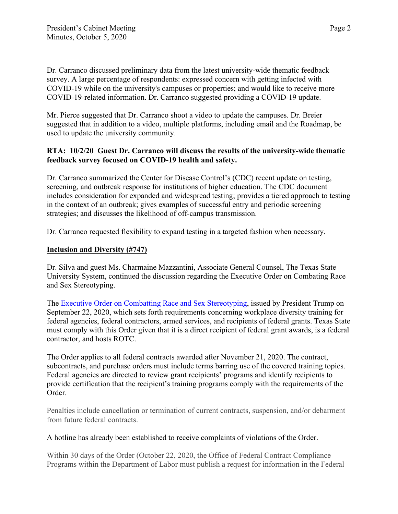Dr. Carranco discussed preliminary data from the latest university-wide thematic feedback survey. A large percentage of respondents: expressed concern with getting infected with COVID-19 while on the university's campuses or properties; and would like to receive more COVID-19-related information. Dr. Carranco suggested providing a COVID-19 update.

Mr. Pierce suggested that Dr. Carranco shoot a video to update the campuses. Dr. Breier suggested that in addition to a video, multiple platforms, including email and the Roadmap, be used to update the university community.

# **RTA: 10/2/20 Guest Dr. Carranco will discuss the results of the university-wide thematic feedback survey focused on COVID-19 health and safety.**

Dr. Carranco summarized the Center for Disease Control's (CDC) recent update on testing, screening, and outbreak response for institutions of higher education. The CDC document includes consideration for expanded and widespread testing; provides a tiered approach to testing in the context of an outbreak; gives examples of successful entry and periodic screening strategies; and discusses the likelihood of off-campus transmission.

Dr. Carranco requested flexibility to expand testing in a targeted fashion when necessary.

### **Inclusion and Diversity (#747)**

Dr. Silva and guest Ms. Charmaine Mazzantini, Associate General Counsel, The Texas State University System, continued the discussion regarding the Executive Order on Combating Race and Sex Stereotyping.

The [Executive Order on Combatting Race and Sex Stereotyping,](https://www.whitehouse.gov/presidential-actions/executive-order-combating-race-sex-stereotyping/) issued by President Trump on September 22, 2020, which sets forth requirements concerning workplace diversity training for federal agencies, federal contractors, armed services, and recipients of federal grants. Texas State must comply with this Order given that it is a direct recipient of federal grant awards, is a federal contractor, and hosts ROTC.

The Order applies to all federal contracts awarded after November 21, 2020. The contract, subcontracts, and purchase orders must include terms barring use of the covered training topics. Federal agencies are directed to review grant recipients' programs and identify recipients to provide certification that the recipient's training programs comply with the requirements of the Order.

Penalties include cancellation or termination of current contracts, suspension, and/or debarment from future federal contracts.

### A hotline has already been established to receive complaints of violations of the Order.

Within 30 days of the Order (October 22, 2020, the Office of Federal Contract Compliance Programs within the Department of Labor must publish a request for information in the Federal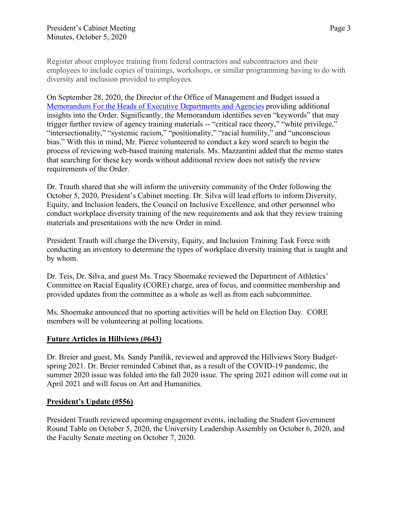Register about employee training from federal contractors and subcontractors and their employees to include copies of trainings, workshops, or similar programming having to do with diversity and inclusion provided to employees.

On September 28, 2020, the Director of the Office of Management and Budget issued a Memorandum For the [Heads of Executive Departments and Agencies](https://www.whitehouse.gov/wp-content/uploads/2020/09/M-20-37.pdf) providing additional insights into the Order. Significantly, the Memorandum identifies seven "keywords" that may trigger further review of agency training materials -- "critical race theory," "white privilege," "intersectionality," "systemic racism," "positionality," "racial humility," and "unconscious bias." With this in mind, Mr. Pierce volunteered to conduct a key word search to begin the process of reviewing web-based training materials. Ms. Mazzantini added that the memo states that searching for these key words without additional review does not satisfy the review requirements of the Order.

Dr. Trauth shared that she will inform the university community of the Order following the October 5, 2020, President's Cabinet meeting. Dr. Silva will lead efforts to inform Diversity, Equity, and Inclusion leaders, the Council on Inclusive Excellence, and other personnel who conduct workplace diversity training of the new requirements and ask that they review training materials and presentations with the new Order in mind.

President Trauth will charge the Diversity, Equity, and Inclusion Training Task Force with conducting an inventory to determine the types of workplace diversity training that is taught and by whom.

Dr. Teis, Dr. Silva, and guest Ms. Tracy Shoemake reviewed the Department of Athletics' Committee on Racial Equality (CORE) charge, area of focus, and committee membership and provided updates from the committee as a whole as well as from each subcommittee.

Ms. Shoemake announced that no sporting activities will be held on Election Day. CORE members will be volunteering at polling locations.

# **Future Articles in Hillviews (#643)**

Dr. Breier and guest, Ms. Sandy Pantlik, reviewed and approved the Hillviews Story Budgetspring 2021. Dr. Breier reminded Cabinet that, as a result of the COVID-19 pandemic, the summer 2020 issue was folded into the fall 2020 issue. The spring 2021 edition will come out in April 2021 and will focus on Art and Humanities.

# **President's Update (#556)**

President Trauth reviewed upcoming engagement events, including the Student Government Round Table on October 5, 2020, the University Leadership Assembly on October 6, 2020, and the Faculty Senate meeting on October 7, 2020.